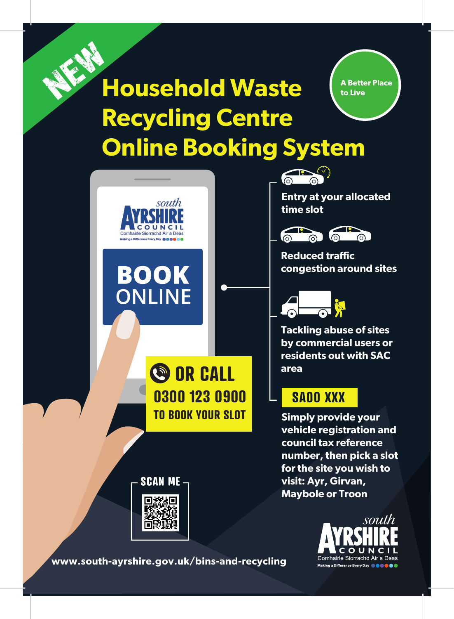





**Entry at your allocated time slot**



**Reduced traffic congestion around sites**



**Tackling abuse of sites by commercial users or residents out with SAC area**

# **SA00 XXX**

**Simply provide your vehicle registration and council tax reference number, then pick a slot for the site you wish to visit: Ayr, Girvan, Maybole or Troon**



**www.south-ayrshire.gov.uk/bins-and-recycling**

**SCAN ME**